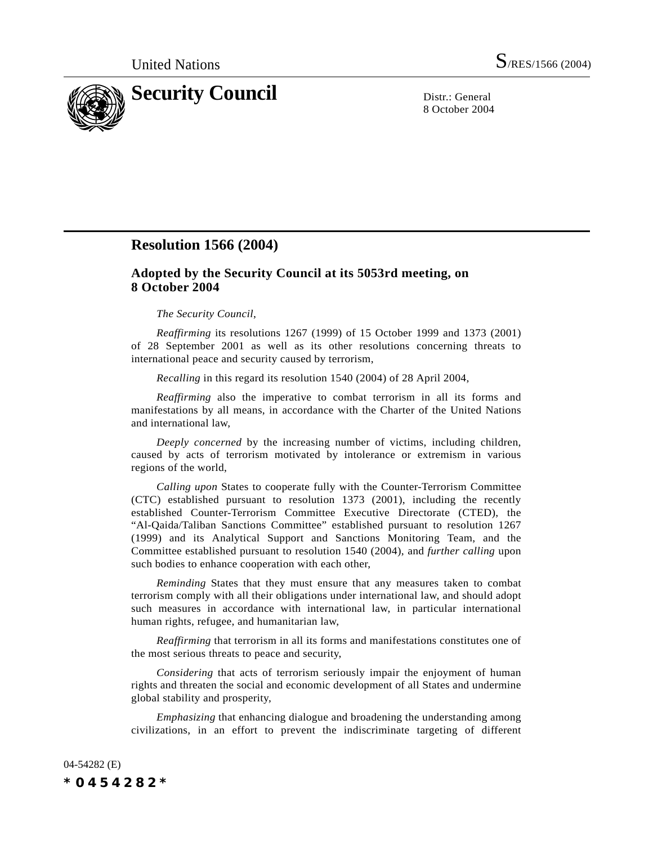

8 October 2004

## **Resolution 1566 (2004)**

## **Adopted by the Security Council at its 5053rd meeting, on 8 October 2004**

## *The Security Council*,

*Reaffirming* its resolutions 1267 (1999) of 15 October 1999 and 1373 (2001) of 28 September 2001 as well as its other resolutions concerning threats to international peace and security caused by terrorism,

*Recalling* in this regard its resolution 1540 (2004) of 28 April 2004,

*Reaffirming* also the imperative to combat terrorism in all its forms and manifestations by all means, in accordance with the Charter of the United Nations and international law,

*Deeply concerned* by the increasing number of victims, including children, caused by acts of terrorism motivated by intolerance or extremism in various regions of the world,

*Calling upon* States to cooperate fully with the Counter-Terrorism Committee (CTC) established pursuant to resolution 1373 (2001), including the recently established Counter-Terrorism Committee Executive Directorate (CTED), the "Al-Qaida/Taliban Sanctions Committee" established pursuant to resolution 1267 (1999) and its Analytical Support and Sanctions Monitoring Team, and the Committee established pursuant to resolution 1540 (2004), and *further calling* upon such bodies to enhance cooperation with each other,

*Reminding* States that they must ensure that any measures taken to combat terrorism comply with all their obligations under international law, and should adopt such measures in accordance with international law, in particular international human rights, refugee, and humanitarian law,

*Reaffirming* that terrorism in all its forms and manifestations constitutes one of the most serious threats to peace and security,

*Considering* that acts of terrorism seriously impair the enjoyment of human rights and threaten the social and economic development of all States and undermine global stability and prosperity,

*Emphasizing* that enhancing dialogue and broadening the understanding among civilizations, in an effort to prevent the indiscriminate targeting of different

04-54282 (E) *\*0454282\**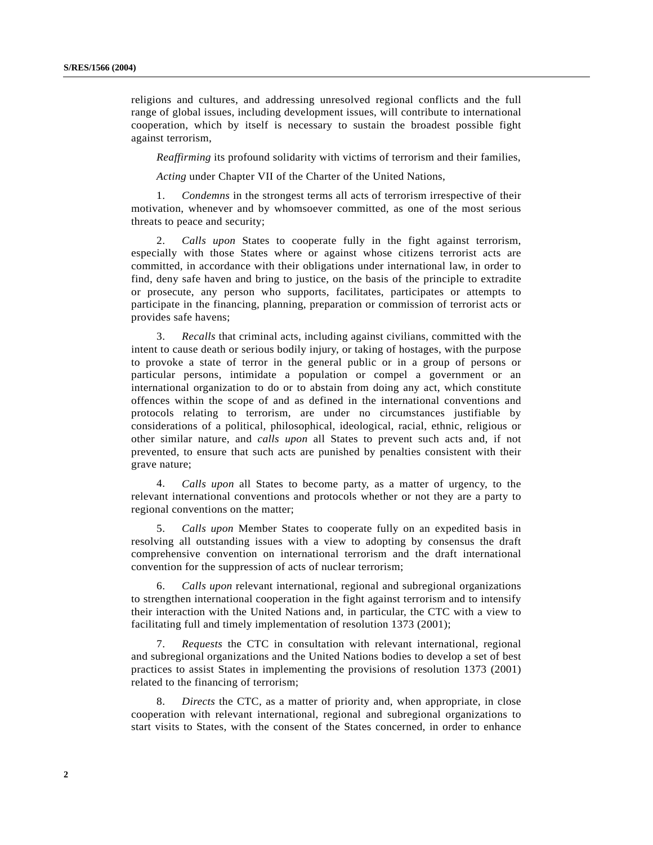religions and cultures, and addressing unresolved regional conflicts and the full range of global issues, including development issues, will contribute to international cooperation, which by itself is necessary to sustain the broadest possible fight against terrorism,

*Reaffirming* its profound solidarity with victims of terrorism and their families,

*Acting* under Chapter VII of the Charter of the United Nations,

1. *Condemns* in the strongest terms all acts of terrorism irrespective of their motivation, whenever and by whomsoever committed, as one of the most serious threats to peace and security;

2. *Calls upon* States to cooperate fully in the fight against terrorism, especially with those States where or against whose citizens terrorist acts are committed, in accordance with their obligations under international law, in order to find, deny safe haven and bring to justice, on the basis of the principle to extradite or prosecute, any person who supports, facilitates, participates or attempts to participate in the financing, planning, preparation or commission of terrorist acts or provides safe havens;

3. *Recalls* that criminal acts, including against civilians, committed with the intent to cause death or serious bodily injury, or taking of hostages, with the purpose to provoke a state of terror in the general public or in a group of persons or particular persons, intimidate a population or compel a government or an international organization to do or to abstain from doing any act, which constitute offences within the scope of and as defined in the international conventions and protocols relating to terrorism, are under no circumstances justifiable by considerations of a political, philosophical, ideological, racial, ethnic, religious or other similar nature, and *calls upon* all States to prevent such acts and, if not prevented, to ensure that such acts are punished by penalties consistent with their grave nature;

4. *Calls upon* all States to become party, as a matter of urgency, to the relevant international conventions and protocols whether or not they are a party to regional conventions on the matter;

5. *Calls upon* Member States to cooperate fully on an expedited basis in resolving all outstanding issues with a view to adopting by consensus the draft comprehensive convention on international terrorism and the draft international convention for the suppression of acts of nuclear terrorism;

6. *Calls upon* relevant international, regional and subregional organizations to strengthen international cooperation in the fight against terrorism and to intensify their interaction with the United Nations and, in particular, the CTC with a view to facilitating full and timely implementation of resolution 1373 (2001);

7. *Requests* the CTC in consultation with relevant international, regional and subregional organizations and the United Nations bodies to develop a set of best practices to assist States in implementing the provisions of resolution 1373 (2001) related to the financing of terrorism;

8. *Directs* the CTC, as a matter of priority and, when appropriate, in close cooperation with relevant international, regional and subregional organizations to start visits to States, with the consent of the States concerned, in order to enhance